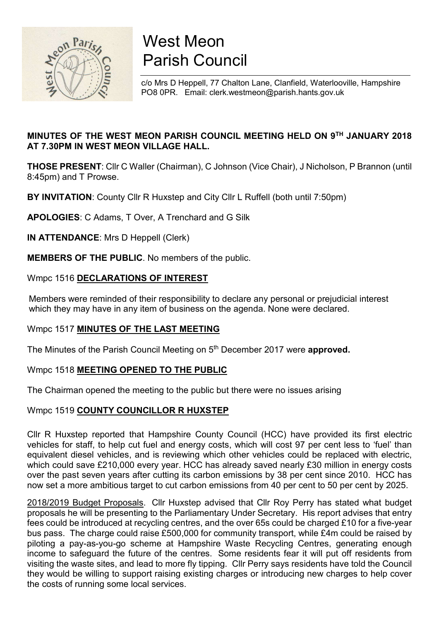

# West Meon Parish Council

c/o Mrs D Heppell, 77 Chalton Lane, Clanfield, Waterlooville, Hampshire PO8 0PR. Email: clerk.westmeon@parish.hants.gov.uk

# MINUTES OF THE WEST MEON PARISH COUNCIL MEETING HELD ON 9TH JANUARY 2018 AT 7.30PM IN WEST MEON VILLAGE HALL.

THOSE PRESENT: Cllr C Waller (Chairman), C Johnson (Vice Chair), J Nicholson, P Brannon (until 8:45pm) and T Prowse.

BY INVITATION: County Cllr R Huxstep and City Cllr L Ruffell (both until 7:50pm)

APOLOGIES: C Adams, T Over, A Trenchard and G Silk

IN ATTENDANCE: Mrs D Heppell (Clerk)

MEMBERS OF THE PUBLIC. No members of the public.

## Wmpc 1516 DECLARATIONS OF INTEREST

 Members were reminded of their responsibility to declare any personal or prejudicial interest which they may have in any item of business on the agenda. None were declared.

# Wmpc 1517 MINUTES OF THE LAST MEETING

The Minutes of the Parish Council Meeting on 5<sup>th</sup> December 2017 were approved.

#### Wmpc 1518 MEETING OPENED TO THE PUBLIC

The Chairman opened the meeting to the public but there were no issues arising

#### Wmpc 1519 COUNTY COUNCILLOR R HUXSTEP

Cllr R Huxstep reported that Hampshire County Council (HCC) have provided its first electric vehicles for staff, to help cut fuel and energy costs, which will cost 97 per cent less to 'fuel' than equivalent diesel vehicles, and is reviewing which other vehicles could be replaced with electric, which could save £210,000 every year. HCC has already saved nearly £30 million in energy costs over the past seven years after cutting its carbon emissions by 38 per cent since 2010. HCC has now set a more ambitious target to cut carbon emissions from 40 per cent to 50 per cent by 2025.

2018/2019 Budget Proposals. Cllr Huxstep advised that Cllr Roy Perry has stated what budget proposals he will be presenting to the Parliamentary Under Secretary. His report advises that entry fees could be introduced at recycling centres, and the over 65s could be charged £10 for a five-year bus pass. The charge could raise £500,000 for community transport, while £4m could be raised by piloting a pay-as-you-go scheme at Hampshire Waste Recycling Centres, generating enough income to safeguard the future of the centres. Some residents fear it will put off residents from visiting the waste sites, and lead to more fly tipping. Cllr Perry says residents have told the Council they would be willing to support raising existing charges or introducing new charges to help cover the costs of running some local services.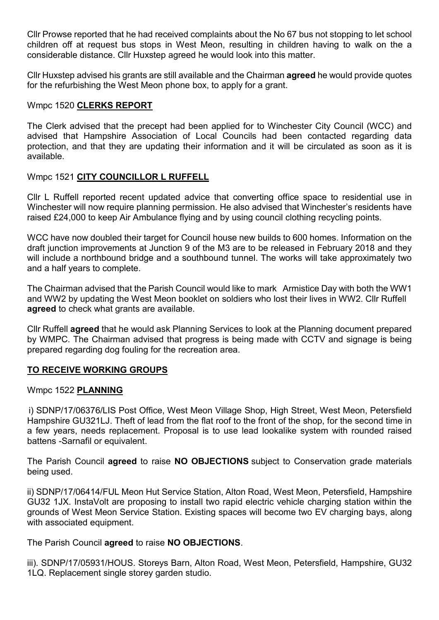Cllr Prowse reported that he had received complaints about the No 67 bus not stopping to let school children off at request bus stops in West Meon, resulting in children having to walk on the a considerable distance. Cllr Huxstep agreed he would look into this matter.

Cllr Huxstep advised his grants are still available and the Chairman agreed he would provide quotes for the refurbishing the West Meon phone box, to apply for a grant.

## Wmpc 1520 CLERKS REPORT

The Clerk advised that the precept had been applied for to Winchester City Council (WCC) and advised that Hampshire Association of Local Councils had been contacted regarding data protection, and that they are updating their information and it will be circulated as soon as it is available.

## Wmpc 1521 CITY COUNCILLOR L RUFFELL

Cllr L Ruffell reported recent updated advice that converting office space to residential use in Winchester will now require planning permission. He also advised that Winchester's residents have raised £24,000 to keep Air Ambulance flying and by using council clothing recycling points.

WCC have now doubled their target for Council house new builds to 600 homes. Information on the draft junction improvements at Junction 9 of the M3 are to be released in February 2018 and they will include a northbound bridge and a southbound tunnel. The works will take approximately two and a half years to complete.

The Chairman advised that the Parish Council would like to mark Armistice Day with both the WW1 and WW2 by updating the West Meon booklet on soldiers who lost their lives in WW2. Cllr Ruffell agreed to check what grants are available.

Cllr Ruffell agreed that he would ask Planning Services to look at the Planning document prepared by WMPC. The Chairman advised that progress is being made with CCTV and signage is being prepared regarding dog fouling for the recreation area.

# TO RECEIVE WORKING GROUPS

#### Wmpc 1522 PLANNING

i) SDNP/17/06376/LIS Post Office, West Meon Village Shop, High Street, West Meon, Petersfield Hampshire GU321LJ. Theft of lead from the flat roof to the front of the shop, for the second time in a few years, needs replacement. Proposal is to use lead lookalike system with rounded raised battens -Sarnafil or equivalent.

The Parish Council **agreed** to raise **NO OBJECTIONS** subject to Conservation grade materials being used.

ii) SDNP/17/06414/FUL Meon Hut Service Station, Alton Road, West Meon, Petersfield, Hampshire GU32 1JX. InstaVolt are proposing to install two rapid electric vehicle charging station within the grounds of West Meon Service Station. Existing spaces will become two EV charging bays, along with associated equipment.

#### The Parish Council agreed to raise NO OBJECTIONS.

iii). SDNP/17/05931/HOUS. Storeys Barn, Alton Road, West Meon, Petersfield, Hampshire, GU32 1LQ. Replacement single storey garden studio.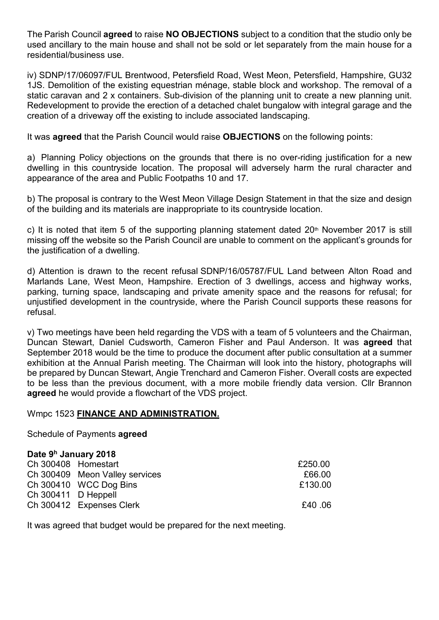The Parish Council **agreed** to raise **NO OBJECTIONS** subject to a condition that the studio only be used ancillary to the main house and shall not be sold or let separately from the main house for a residential/business use.

iv) SDNP/17/06097/FUL Brentwood, Petersfield Road, West Meon, Petersfield, Hampshire, GU32 1JS. Demolition of the existing equestrian ménage, stable block and workshop. The removal of a static caravan and 2 x containers. Sub-division of the planning unit to create a new planning unit. Redevelopment to provide the erection of a detached chalet bungalow with integral garage and the creation of a driveway off the existing to include associated landscaping.

It was **agreed** that the Parish Council would raise OBJECTIONS on the following points:

a) Planning Policy objections on the grounds that there is no over-riding justification for a new dwelling in this countryside location. The proposal will adversely harm the rural character and appearance of the area and Public Footpaths 10 and 17.

b) The proposal is contrary to the West Meon Village Design Statement in that the size and design of the building and its materials are inappropriate to its countryside location.

c) It is noted that item 5 of the supporting planning statement dated  $20<sup>th</sup>$  November 2017 is still missing off the website so the Parish Council are unable to comment on the applicant's grounds for the justification of a dwelling.

d) Attention is drawn to the recent refusal SDNP/16/05787/FUL Land between Alton Road and Marlands Lane, West Meon, Hampshire. Erection of 3 dwellings, access and highway works, parking, turning space, landscaping and private amenity space and the reasons for refusal; for unjustified development in the countryside, where the Parish Council supports these reasons for refusal.

v) Two meetings have been held regarding the VDS with a team of 5 volunteers and the Chairman, Duncan Stewart, Daniel Cudsworth, Cameron Fisher and Paul Anderson. It was agreed that September 2018 would be the time to produce the document after public consultation at a summer exhibition at the Annual Parish meeting. The Chairman will look into the history, photographs will be prepared by Duncan Stewart, Angie Trenchard and Cameron Fisher. Overall costs are expected to be less than the previous document, with a more mobile friendly data version. Cllr Brannon agreed he would provide a flowchart of the VDS project.

#### Wmpc 1523 FINANCE AND ADMINISTRATION.

Schedule of Payments agreed

#### Date 9<sup>h</sup> January 2018

| Ch 300408 Homestart            | £250.00 |
|--------------------------------|---------|
| Ch 300409 Meon Valley services | £66.00  |
| Ch 300410 WCC Dog Bins         | £130.00 |
| Ch 300411 D Heppell            |         |
| Ch 300412 Expenses Clerk       | .06 E40 |
|                                |         |

It was agreed that budget would be prepared for the next meeting.